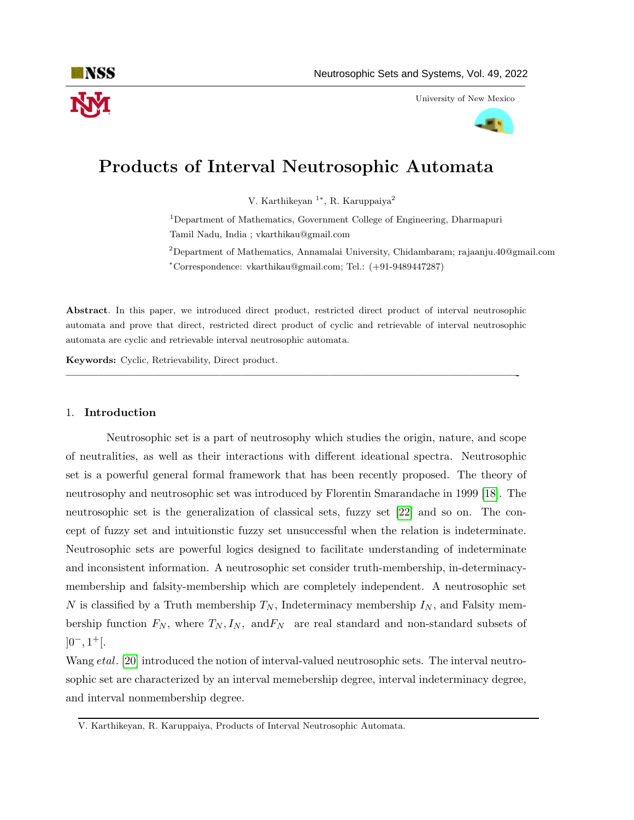

University of New Mexico



# Products of Interval Neutrosophic Automata

V. Karthikeyan <sup>1</sup><sup>\*</sup>, R. Karuppaiya<sup>2</sup>

<sup>1</sup>Department of Mathematics, Government College of Engineering, Dharmapuri Tamil Nadu, India ; vkarthikau@gmail.com

<sup>2</sup>Department of Mathematics, Annamalai University, Chidambaram; rajaanju.40@gmail.com <sup>∗</sup>Correspondence: vkarthikau@gmail.com; Tel.: (+91-9489447287)

Abstract. In this paper, we introduced direct product, restricted direct product of interval neutrosophic automata and prove that direct, restricted direct product of cyclic and retrievable of interval neutrosophic automata are cyclic and retrievable interval neutrosophic automata.

—————————————————————————————————————————-

Keywords: Cyclic, Retrievability, Direct product.

### 1. Introduction

Neutrosophic set is a part of neutrosophy which studies the origin, nature, and scope of neutralities, as well as their interactions with different ideational spectra. Neutrosophic set is a powerful general formal framework that has been recently proposed. The theory of neutrosophy and neutrosophic set was introduced by Florentin Smarandache in 1999 [\[18\]](#page-7-0). The neutrosophic set is the generalization of classical sets, fuzzy set [\[22\]](#page-7-1) and so on. The concept of fuzzy set and intuitionstic fuzzy set unsuccessful when the relation is indeterminate. Neutrosophic sets are powerful logics designed to facilitate understanding of indeterminate and inconsistent information. A neutrosophic set consider truth-membership, in-determinacymembership and falsity-membership which are completely independent. A neutrosophic set N is classified by a Truth membership  $T_N$ , Indeterminacy membership  $I_N$ , and Falsity membership function  $F_N$ , where  $T_N, I_N$ , and  $F_N$  are real standard and non-standard subsets of  $]0^-, 1^+$ [.

Wang *etal*. [\[20\]](#page-7-2) introduced the notion of interval-valued neutrosophic sets. The interval neutrosophic set are characterized by an interval memebership degree, interval indeterminacy degree, and interval nonmembership degree.

V. Karthikeyan, R. Karuppaiya, Products of Interval Neutrosophic Automata.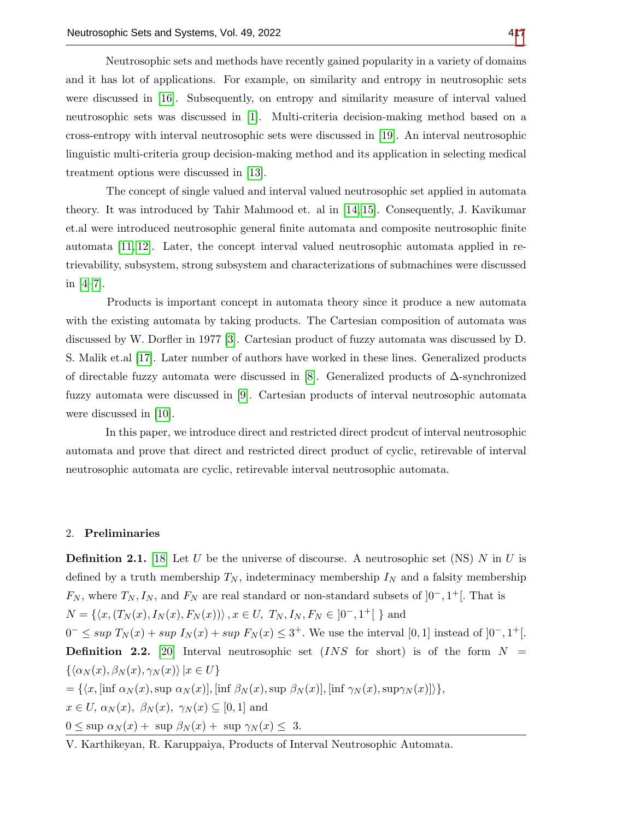Neutrosophic sets and methods have recently gained popularity in a variety of domains and it has lot of applications. For example, on similarity and entropy in neutrosophic sets were discussed in [\[16\]](#page-7-4). Subsequently, on entropy and similarity measure of interval valued neutrosophic sets was discussed in [\[1\]](#page-6-0). Multi-criteria decision-making method based on a cross-entropy with interval neutrosophic sets were discussed in [\[19\]](#page-7-5). An interval neutrosophic linguistic multi-criteria group decision-making method and its application in selecting medical treatment options were discussed in [\[13\]](#page-7-6).

The concept of single valued and interval valued neutrosophic set applied in automata theory. It was introduced by Tahir Mahmood et. al in [\[14,](#page-7-7) [15\]](#page-7-8). Consequently, J. Kavikumar et.al were introduced neutrosophic general finite automata and composite neutrosophic finite automata [\[11,](#page-7-9) [12\]](#page-7-10). Later, the concept interval valued neutrosophic automata applied in retrievability, subsystem, strong subsystem and characterizations of submachines were discussed in [\[4–](#page-7-11)[7\]](#page-7-12).

Products is important concept in automata theory since it produce a new automata with the existing automata by taking products. The Cartesian composition of automata was discussed by W. Dorfler in 1977 [\[3\]](#page-6-1). Cartesian product of fuzzy automata was discussed by D. S. Malik et.al [\[17\]](#page-7-13). Later number of authors have worked in these lines. Generalized products of directable fuzzy automata were discussed in [\[8\]](#page-7-14). Generalized products of ∆-synchronized fuzzy automata were discussed in [\[9\]](#page-7-15). Cartesian products of interval neutrosophic automata were discussed in [\[10\]](#page-7-16).

In this paper, we introduce direct and restricted direct prodcut of interval neutrosophic automata and prove that direct and restricted direct product of cyclic, retirevable of interval neutrosophic automata are cyclic, retirevable interval neutrosophic automata.

#### 2. Preliminaries

**Definition 2.1.** [\[18\]](#page-7-0) Let U be the universe of discourse. A neutrosophic set (NS) N in U is defined by a truth membership  $T_N$ , indeterminacy membership  $I_N$  and a falsity membership  $F_N$ , where  $T_N, I_N$ , and  $F_N$  are real standard or non-standard subsets of  $]0^-, 1^+[$ . That is  $N = \{ \langle x, (T_N(x), I_N(x), F_N(x)) \rangle, x \in U, T_N, I_N, F_N \in ]0^-, 1^+] \}$  and  $0^- \leq \sup T_N(x) + \sup I_N(x) + \sup F_N(x) \leq 3^+$ . We use the interval [0, 1] instead of  $]0^-, 1^+[$ . **Definition 2.2.** [\[20\]](#page-7-2) Interval neutrosophic set  $(INS\ for\ short)$  is of the form  $N =$  $\{\langle \alpha_N (x), \beta_N (x), \gamma_N (x)\rangle |x \in U\}$  $=\{\langle x, [\inf \alpha_N (x), \sup \alpha_N (x)], [\inf \beta_N (x), \sup \beta_N (x)], [\inf \gamma_N (x), \sup \gamma_N (x)]\rangle\},\$  $x \in U$ ,  $\alpha_N(x)$ ,  $\beta_N(x)$ ,  $\gamma_N(x) \subseteq [0,1]$  and

 $0 \leq \sup \alpha_N(x) + \sup \beta_N(x) + \sup \gamma_N(x) \leq 3.$ 

V. Karthikeyan, R. Karuppaiya, Products of Interval Neutrosophic Automata.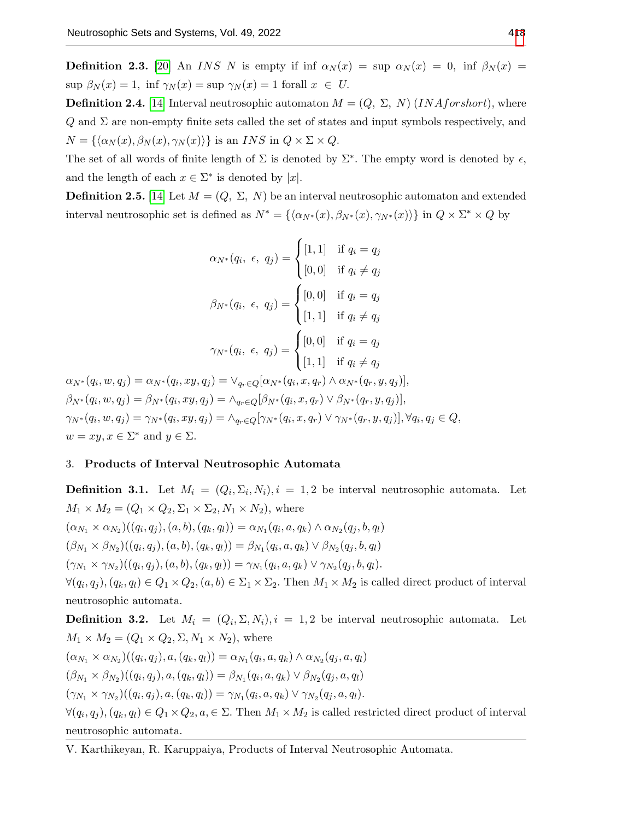**Definition 2.3.** [\[20\]](#page-7-2) An INS N is empty if inf  $\alpha_N(x) = \text{sup } \alpha_N(x) = 0$ , inf  $\beta_N(x) =$  $\sup \beta_N(x) = 1$ ,  $\inf \gamma_N(x) = \sup \gamma_N(x) = 1$  forall  $x \in U$ .

**Definition 2.4.** [\[14\]](#page-7-7) Interval neutrosophic automaton  $M = (Q, \Sigma, N)$  (*INAforshort*), where  $Q$  and  $\Sigma$  are non-empty finite sets called the set of states and input symbols respectively, and  $N = {\langle \alpha_N (x), \beta_N (x), \gamma_N (x) \rangle}$  is an INS in  $Q \times \Sigma \times Q$ .

The set of all words of finite length of  $\Sigma$  is denoted by  $\Sigma^*$ . The empty word is denoted by  $\epsilon$ , and the length of each  $x \in \Sigma^*$  is denoted by |x|.

**Definition 2.5.** [\[14\]](#page-7-7) Let  $M = (Q, \Sigma, N)$  be an interval neutrosophic automaton and extended interval neutrosophic set is defined as  $N^* = \{\langle \alpha_{N^*}(x), \beta_{N^*}(x), \gamma_{N^*}(x) \rangle\}$  in  $Q \times \Sigma^* \times Q$  by

$$
\alpha_{N^*}(q_i, \epsilon, q_j) = \begin{cases} [1, 1] & \text{if } q_i = q_j \\ [0, 0] & \text{if } q_i \neq q_j \end{cases}
$$

$$
\beta_{N^*}(q_i, \epsilon, q_j) = \begin{cases} [0, 0] & \text{if } q_i = q_j \\ [1, 1] & \text{if } q_i \neq q_j \end{cases}
$$

$$
\gamma_{N^*}(q_i, \epsilon, q_j) = \begin{cases} [0, 0] & \text{if } q_i = q_j \\ [1, 1] & \text{if } q_i \neq q_j \end{cases}
$$

 $\alpha_{N^*}(q_i,w,q_j)=\alpha_{N^*}(q_i,xy,q_j)=\vee_{q_r\in Q}[\alpha_{N^*}(q_i,x,q_r)\wedge \alpha_{N^*}(q_r,y,q_j)],$  $\beta_{N^*}(q_i, w, q_j) = \beta_{N^*}(q_i, xy, q_j) = \wedge_{q_r \in Q} [\beta_{N^*}(q_i, x, q_r) \vee \beta_{N^*}(q_r, y, q_j)],$  $\gamma_{N^*}(q_i, w, q_j) = \gamma_{N^*}(q_i, xy, q_j) = \land_{q_r \in Q} [\gamma_{N^*}(q_i, x, q_r) \lor \gamma_{N^*}(q_r, y, q_j)], \forall q_i, q_j \in Q,$  $w = xy, x \in \Sigma^*$  and  $y \in \Sigma$ .

# 3. Products of Interval Neutrosophic Automata

**Definition 3.1.** Let  $M_i = (Q_i, \Sigma_i, N_i), i = 1, 2$  be interval neutrosophic automata. Let  $M_1 \times M_2 = (Q_1 \times Q_2, \Sigma_1 \times \Sigma_2, N_1 \times N_2)$ , where  $(\alpha_{N_1} \times \alpha_{N_2})((q_i, q_j), (a, b), (q_k, q_l)) = \alpha_{N_1}(q_i, a, q_k) \wedge \alpha_{N_2}(q_j, b, q_l)$  $(\beta_{N_1} \times \beta_{N_2})((q_i, q_j), (a, b), (q_k, q_l)) = \beta_{N_1}(q_i, a, q_k) \vee \beta_{N_2}(q_j, b, q_l)$  $(\gamma_{N_1} \times \gamma_{N_2})((q_i, q_j), (a, b), (q_k, q_l)) = \gamma_{N_1}(q_i, a, q_k) \vee \gamma_{N_2}(q_j, b, q_l).$  $\forall (q_i, q_j), (q_k, q_l) \in Q_1 \times Q_2, (a, b) \in \Sigma_1 \times \Sigma_2$ . Then  $M_1 \times M_2$  is called direct product of interval neutrosophic automata.

**Definition 3.2.** Let  $M_i = (Q_i, \Sigma, N_i), i = 1, 2$  be interval neutrosophic automata. Let  $M_1 \times M_2 = (Q_1 \times Q_2, \Sigma, N_1 \times N_2)$ , where  $(\alpha_{N_1} \times \alpha_{N_2})((q_i, q_j), a, (q_k, q_l)) = \alpha_{N_1}(q_i, a, q_k) \wedge \alpha_{N_2}(q_j, a, q_l)$ 

$$
(\beta_{N_1} \times \beta_{N_2})((q_i, q_j), a, (q_k, q_l)) = \beta_{N_1}(q_i, a, q_k) \vee \beta_{N_2}(q_j, a, q_l)
$$

$$
(\gamma_{N_1} \times \gamma_{N_2})((q_i, q_j), a, (q_k, q_l)) = \gamma_{N_1}(q_i, a, q_k) \vee \gamma_{N_2}(q_j, a, q_l).
$$

 $\forall (q_i, q_j), (q_k, q_l) \in Q_1 \times Q_2, a \in \Sigma$ . Then  $M_1 \times M_2$  is called restricted direct product of interval neutrosophic automata.

V. Karthikeyan, R. Karuppaiya, Products of Interval Neutrosophic Automata.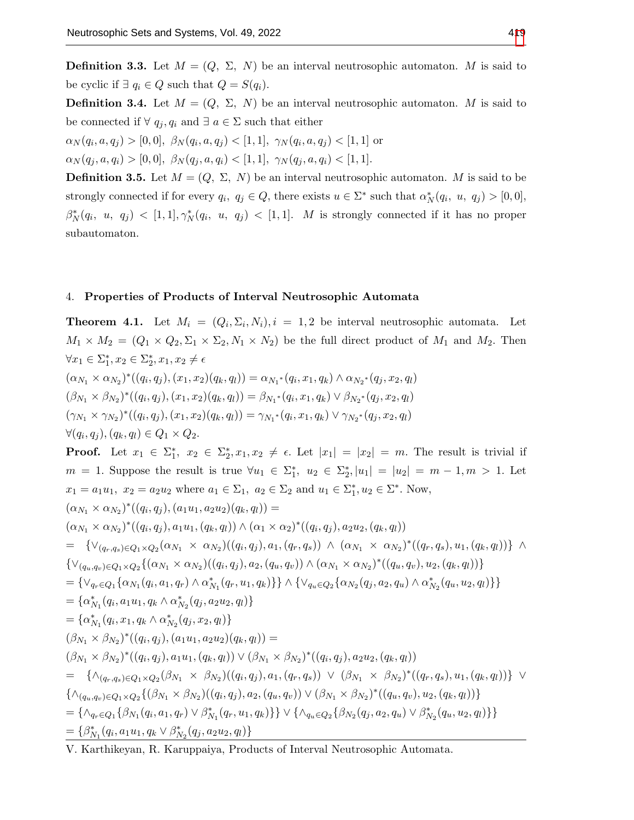**Definition 3.3.** Let  $M = (Q, \Sigma, N)$  be an interval neutrosophic automaton. M is said to be cyclic if  $\exists q_i \in Q$  such that  $Q = S(q_i)$ .

**Definition 3.4.** Let  $M = (Q, \Sigma, N)$  be an interval neutrosophic automaton. M is said to be connected if  $\forall q_i, q_i$  and  $\exists a \in \Sigma$  such that either

 $\alpha_N(q_i, a, q_j) > [0, 0], \ \beta_N(q_i, a, q_j) < [1, 1], \ \gamma_N(q_i, a, q_j) < [1, 1] \ \text{or}$ 

 $\alpha_N(q_j, a, q_i) > [0, 0], \ \beta_N(q_j, a, q_i) < [1, 1], \ \gamma_N(q_j, a, q_i) < [1, 1].$ 

**Definition 3.5.** Let  $M = (Q, \Sigma, N)$  be an interval neutrosophic automaton. M is said to be strongly connected if for every  $q_i, q_j \in Q$ , there exists  $u \in \Sigma^*$  such that  $\alpha_N^*(q_i, u, q_j) > [0, 0],$  $\beta_N^*(q_i, u, q_j) < [1, 1], \gamma_N^*(q_i, u, q_j) < [1, 1].$  M is strongly connected if it has no proper subautomaton.

## 4. Properties of Products of Interval Neutrosophic Automata

**Theorem 4.1.** Let  $M_i = (Q_i, \Sigma_i, N_i), i = 1, 2$  be interval neutrosophic automata. Let  $M_1 \times M_2 = (Q_1 \times Q_2, \Sigma_1 \times \Sigma_2, N_1 \times N_2)$  be the full direct product of  $M_1$  and  $M_2$ . Then  $\forall x_1 \in \Sigma_1^*, x_2 \in \Sigma_2^*, x_1, x_2 \neq \epsilon$  $(\alpha_{N_1} \times \alpha_{N_2})^*((q_i, q_j), (x_1, x_2)(q_k, q_l)) = \alpha_{N_1^*}(q_i, x_1, q_k) \wedge \alpha_{N_2^*}(q_j, x_2, q_l)$  $(\beta_{N_1} \times \beta_{N_2})^*((q_i, q_j), (x_1, x_2)(q_k, q_l)) = \beta_{N_1^*}(q_i, x_1, q_k) \vee \beta_{N_2^*}(q_j, x_2, q_l)$  $(\gamma_{N_1} \times \gamma_{N_2})^*((q_i, q_j), (x_1, x_2)(q_k, q_l)) = \gamma_{N_1}^*(q_i, x_1, q_k) \vee \gamma_{N_2}^*(q_j, x_2, q_l)$  $\forall (q_i, q_j), (q_k, q_l) \in Q_1 \times Q_2.$ **Proof.** Let  $x_1 \in \Sigma_1^*$ ,  $x_2 \in \Sigma_2^*$ ,  $x_1, x_2 \neq \epsilon$ . Let  $|x_1| = |x_2| = m$ . The result is trivial if  $m = 1$ . Suppose the result is true  $\forall u_1 \in \Sigma_1^*, u_2 \in \Sigma_2^*, |u_1| = |u_2| = m - 1, m > 1$ . Let  $x_1 = a_1 u_1, x_2 = a_2 u_2$  where  $a_1 \in \Sigma_1$ ,  $a_2 \in \Sigma_2$  and  $u_1 \in \Sigma_1^*$ ,  $u_2 \in \Sigma^*$ . Now,  $(\alpha_{N_1} \times \alpha_{N_2})^*((q_i, q_j), (a_1u_1, a_2u_2)(q_k, q_l)) =$  $(\alpha_{N_1} \times \alpha_{N_2})^*((q_i, q_j), a_1u_1, (q_k, q_l)) \wedge (\alpha_1 \times \alpha_2)^*((q_i, q_j), a_2u_2, (q_k, q_l))$  $=\ \{\vee_{(q_r,q_s)\in Q_1\times Q_2}(\alpha_{N_1}\times \alpha_{N_2})((q_i,q_j),a_1,(q_r,q_s))\ \wedge\ (\alpha_{N_1}\times \alpha_{N_2})^*((q_r,q_s),u_1,(q_k,q_l))\}\ \wedge\$  $\{ \vee_{(q_u,q_v)\in Q_1\times Q_2}\{(\alpha_{N_1}\times \alpha_{N_2})((q_i,q_j),a_2,(q_u,q_v))\wedge (\alpha_{N_1}\times \alpha_{N_2})^*((q_u,q_v),u_2,(q_k,q_l))\}$  $= \{\vee_{q_r \in Q_1} \{ \alpha_{N_1}(q_i, a_1, q_r) \wedge \alpha_{N_1}^*(q_r, u_1, q_k) \} \} \wedge \{ \vee_{q_u \in Q_2} \{ \alpha_{N_2}(q_j, a_2, q_u) \wedge \alpha_{N_2}^*(q_u, u_2, q_l) \} \}$  $=\{\alpha_{N_1}^*(q_i,a_1u_1,q_k\land \alpha_{N_2}^*(q_j,a_2u_2,q_l)\}\$  $=\{\alpha_{N_1}^*(q_i,x_1,q_k \wedge \alpha_{N_2}^*(q_j,x_2,q_l)\}\$  $(\beta_{N_1} \times \beta_{N_2})^*((q_i, q_j), (a_1u_1, a_2u_2)(q_k, q_l)) =$  $(\beta_{N_1} \times \beta_{N_2})^*((q_i, q_j), a_1u_1, (q_k, q_l)) \vee (\beta_{N_1} \times \beta_{N_2})^*((q_i, q_j), a_2u_2, (q_k, q_l))$  $= \{\wedge_{(q_r,q_s)\in Q_1\times Q_2}(\beta_{N_1}\times \beta_{N_2})((q_i,q_j),a_1,(q_r,q_s)) \vee (\beta_{N_1}\times \beta_{N_2})^*((q_r,q_s),u_1,(q_k,q_l))\}\vee$  $\{\wedge_{(q_u,q_v)\in Q_1\times Q_2}\{(\beta_{N_1}\times\beta_{N_2})((q_i,q_j),a_2,(q_u,q_v))\vee(\beta_{N_1}\times\beta_{N_2})^*((q_u,q_v),u_2,(q_k,q_l))\}\}$  $= \{\wedge_{q_r \in Q_1} \{\beta_{N_1}(q_i, a_1, q_r) \vee \beta_{N_1}^*(q_r, u_1, q_k)\}\} \vee \{\wedge_{q_u \in Q_2} \{\beta_{N_2}(q_j, a_2, q_u) \vee \beta_{N_2}^*(q_u, u_2, q_l)\}\}\$  $=\{\beta^*_{N_1}(q_i,a_1u_1,q_k\vee\beta^*_{N_2}(q_j,a_2u_2,q_l)\}\$ 

V. Karthikeyan, R. Karuppaiya, Products of Interval Neutrosophic Automata.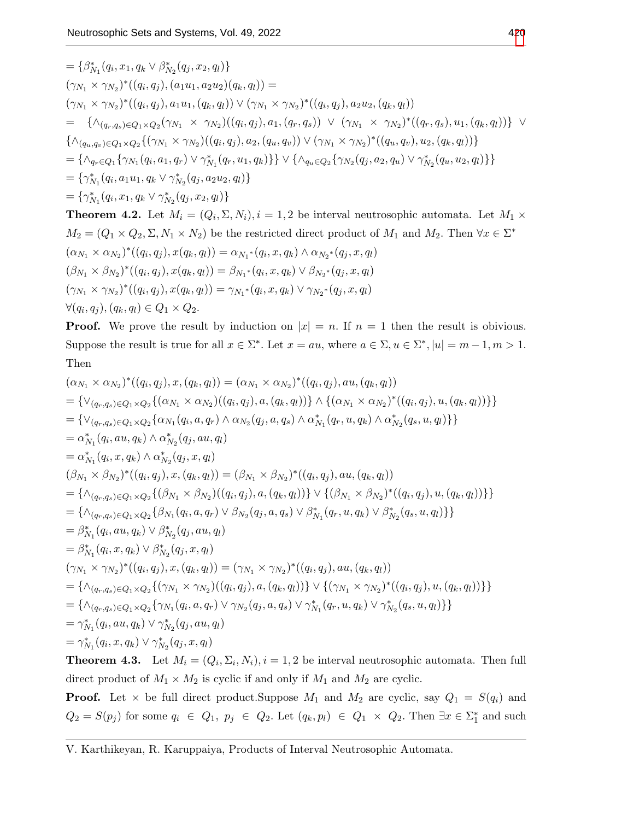$$
= \{\beta_{N_1}^*(q_i, x_1, q_k \vee \beta_{N_2}^*(q_j, x_2, q_l)\}\
$$
  
\n
$$
(\gamma_{N_1} \times \gamma_{N_2})^*((q_i, q_j), (a_1u_1, a_2u_2)(q_k, q_l)) =
$$
  
\n
$$
(\gamma_{N_1} \times \gamma_{N_2})^*((q_i, q_j), a_1u_1, (q_k, q_l)) \vee (\gamma_{N_1} \times \gamma_{N_2})^*((q_i, q_j), a_2u_2, (q_k, q_l))
$$
  
\n
$$
= \{\wedge_{(q_r, q_s) \in Q_1 \times Q_2} (\gamma_{N_1} \times \gamma_{N_2})((q_i, q_j), a_1, (q_r, q_s)) \vee (\gamma_{N_1} \times \gamma_{N_2})^*((q_r, q_s), u_1, (q_k, q_l))\} \vee
$$
  
\n
$$
\{\wedge_{(q_u, q_v) \in Q_1 \times Q_2} \{(\gamma_{N_1} \times \gamma_{N_2})((q_i, q_j), a_2, (q_u, q_v)) \vee (\gamma_{N_1} \times \gamma_{N_2})^*((q_u, q_v), u_2, (q_k, q_l))\}
$$
  
\n
$$
= \{\wedge_{N_1}^*(q_i, q_1u_1, q_k \vee \gamma_{N_2}^*(q_j, a_2u_2, q_l)\} \vee \{\wedge_{q_u \in Q_2} \{\gamma_{N_2}(q_j, a_2, q_u) \vee \gamma_{N_2}^*(q_u, u_2, q_l)\}\}
$$
  
\n
$$
= \{\gamma_{N_1}^*(q_i, a_1u_1, q_k \vee \gamma_{N_2}^*(q_j, a_2u_2, q_l)\}
$$
  
\n**Theorem 4.2.** Let  $M_i = (Q_i, \Sigma, N_i), i = 1, 2$  be interval neutroscopic automata. Let  $M_1 \times M_2 = (Q_1 \times Q_2, \Sigma, N_1 \times N_2)$  be the restricted direct product of  $M_1$  and  $M_2$ . Then  $\forall x \in \Sigma^*$   
\n
$$
(\alpha_{N_1} \times \alpha_{N_2})^*((q_i, q_j), x(q_k, q_l)) = \alpha
$$

$$
(\beta_{N_1} \times \beta_{N_2})^*((q_i, q_j), x(q_k, q_l)) = \beta_{N_1^*}(q_i, x, q_k) \vee \beta_{N_2^*}(q_j, x, q_l)
$$
  

$$
(\gamma_{N_1} \times \gamma_{N_2})^*((q_i, q_j), x(q_k, q_l)) = \gamma_{N_1^*}(q_i, x, q_k) \vee \gamma_{N_2^*}(q_j, x, q_l)
$$
  

$$
\forall (q_i, q_j), (q_k, q_l) \in Q_1 \times Q_2.
$$

**Proof.** We prove the result by induction on  $|x| = n$ . If  $n = 1$  then the result is obivious. Suppose the result is true for all  $x \in \Sigma^*$ . Let  $x = au$ , where  $a \in \Sigma, u \in \Sigma^*$ ,  $|u| = m - 1, m > 1$ . Then

$$
(\alpha_{N_1} \times \alpha_{N_2})^*((q_i, q_j), x, (q_k, q_l)) = (\alpha_{N_1} \times \alpha_{N_2})^*((q_i, q_j), au, (q_k, q_l))
$$
  
\n
$$
= {\vee_{(q_r, q_s) \in Q_1 \times Q_2}} {\alpha_{N_1} (q_i, \alpha, q_r) \land \alpha_{N_2} (q_j, a, (q_k, q_l))} \land {\alpha_{N_1} \times \alpha_{N_2}}^*((q_i, q_j), u, (q_k, q_l))}
$$
  
\n
$$
= {\vee_{(q_r, q_s) \in Q_1 \times Q_2}} {\alpha_{N_1} (q_i, a, q_r) \land \alpha_{N_2} (q_j, a, q_s) \land \alpha_{N_1}^*(q_r, u, q_k) \land \alpha_{N_2}^*(q_s, u, q_l)}
$$
  
\n
$$
= \alpha_{N_1}^*(q_i, a u, q_k) \land \alpha_{N_2}^*(q_j, a u, q_l)
$$
  
\n
$$
= \alpha_{N_1}^*(q_i, x, q_k) \land \alpha_{N_2}^*(q_j, x, q_l)
$$
  
\n
$$
(\beta_{N_1} \times \beta_{N_2})^*((q_i, q_j), x, (q_k, q_l)) = (\beta_{N_1} \times \beta_{N_2})^*((q_i, q_j), au, (q_k, q_l))
$$
  
\n
$$
= {\wedge_{(q_r, q_s) \in Q_1 \times Q_2}} {\beta_{N_1} (q_i, q_j, \alpha, q_r) \lor \beta_{N_2} (q_j, a, q_s) \lor \beta_{N_1}^*(q_r, u, q_k) \lor \beta_{N_2}^*(q_s, u, q_l)}
$$
  
\n
$$
= {\wedge_{N_1}^*(q_i, a u, q_k) \lor \beta_{N_2}^*(q_j, a u, q_l)}
$$
  
\n
$$
= {\wedge_{N_1}^*(q_i, a u, q_k) \lor \beta_{N_2}^*(q_j, a u, q_l)}
$$
  
\n
$$
= {\wedge_{N_1}^*(q_i, a u, q_k) \lor \beta_{N_2}^*(q_j, a, q_l)}
$$
  
\n
$$
= {\wedge_{(q_r, q_s) \in Q_1 \times Q_2} {\gamma
$$

**Theorem 4.3.** Let  $M_i = (Q_i, \Sigma_i, N_i), i = 1, 2$  be interval neutrosophic automata. Then full direct product of  $M_1 \times M_2$  is cyclic if and only if  $M_1$  and  $M_2$  are cyclic.

**Proof.** Let  $\times$  be full direct product. Suppose  $M_1$  and  $M_2$  are cyclic, say  $Q_1 = S(q_i)$  and  $Q_2 = S(p_j)$  for some  $q_i \in Q_1$ ,  $p_j \in Q_2$ . Let  $(q_k, p_l) \in Q_1 \times Q_2$ . Then  $\exists x \in \Sigma_1^*$  and such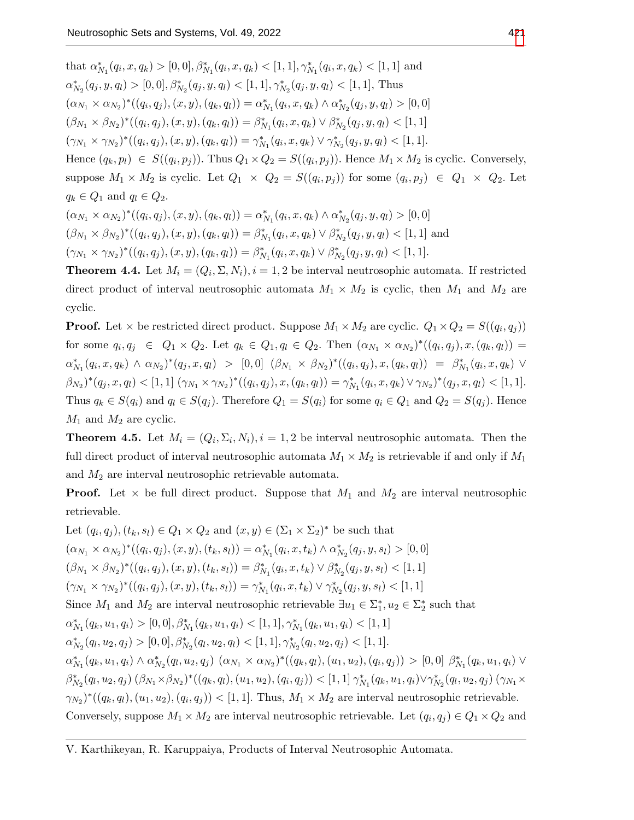that  $\alpha_{N_1}^*(q_i, x, q_k) > [0, 0], \beta_{N_1}^*(q_i, x, q_k) < [1, 1], \gamma_{N_1}^*(q_i, x, q_k) < [1, 1]$  and  $\alpha^*_{N_2}(q_j, y, q_l) > [0, 0], \beta^*_{N_2}(q_j, y, q_l) < [1, 1], \gamma^*_{N_2}(q_j, y, q_l) < [1, 1],$  Thus  $(\alpha_{N_1} \times \alpha_{N_2})^*((q_i, q_j), (x, y), (q_k, q_l)) = \alpha_{N_1}^*(q_i, x, q_k) \wedge \alpha_{N_2}^*(q_j, y, q_l) > [0, 0]$  $(\beta_{N_1} \times \beta_{N_2})^*((q_i, q_j), (x, y), (q_k, q_l)) = \beta_{N_1}^*(q_i, x, q_k) \vee \beta_{N_2}^*(q_j, y, q_l) < [1, 1]$  $(\gamma_{N_1} \times \gamma_{N_2})^*((q_i, q_j), (x, y), (q_k, q_l)) = \gamma_{N_1}^*(q_i, x, q_k) \vee \gamma_{N_2}^*(q_j, y, q_l) < [1, 1].$ Hence  $(q_k, p_l) \in S((q_i, p_j))$ . Thus  $Q_1 \times Q_2 = S((q_i, p_j))$ . Hence  $M_1 \times M_2$  is cyclic. Conversely, suppose  $M_1 \times M_2$  is cyclic. Let  $Q_1 \times Q_2 = S((q_i, p_j))$  for some  $(q_i, p_j) \in Q_1 \times Q_2$ . Let  $q_k \in Q_1$  and  $q_l \in Q_2$ .  $(\alpha_{N_1} \times \alpha_{N_2})^*((q_i, q_j), (x, y), (q_k, q_l)) = \alpha_{N_1}^*(q_i, x, q_k) \wedge \alpha_{N_2}^*(q_j, y, q_l) > [0, 0]$  $(\beta_{N_1} \times \beta_{N_2})^*((q_i, q_j), (x, y), (q_k, q_l)) = \beta_{N_1}^*(q_i, x, q_k) \vee \beta_{N_2}^*(q_j, y, q_l) < [1, 1]$  and

 $(\gamma_{N_1} \times \gamma_{N_2})^*((q_i, q_j), (x, y), (q_k, q_l)) = \beta_{N_1}^*(q_i, x, q_k) \vee \beta_{N_2}^*(q_j, y, q_l) < [1, 1].$ 

**Theorem 4.4.** Let  $M_i = (Q_i, \Sigma, N_i), i = 1, 2$  be interval neutrosophic automata. If restricted direct product of interval neutrosophic automata  $M_1 \times M_2$  is cyclic, then  $M_1$  and  $M_2$  are cyclic.

**Proof.** Let  $\times$  be restricted direct product. Suppose  $M_1 \times M_2$  are cyclic.  $Q_1 \times Q_2 = S((q_i, q_j))$ for some  $q_i, q_j \in Q_1 \times Q_2$ . Let  $q_k \in Q_1, q_l \in Q_2$ . Then  $(\alpha_{N_1} \times \alpha_{N_2})^*((q_i, q_j), x, (q_k, q_l)) =$  $\alpha^*_{N_1}(q_i,x,q_k) \wedge \alpha_{N_2})^*(q_j,x,q_l) > [0,0] \ (\beta_{N_1} \times \beta_{N_2})^*((q_i,q_j),x,(q_k,q_l)) = \beta^*_{N_1}(q_i,x,q_k) \vee$  $(\beta_{N_2})^*(q_j, x, q_l) < [1, 1] \left(\gamma_{N_1} \times \gamma_{N_2}\right)^*(q_i, q_j), x, (q_k, q_l) = \gamma_{N_1}^*(q_i, x, q_k) \vee \gamma_{N_2})^*(q_j, x, q_l) < [1, 1].$ Thus  $q_k \in S(q_i)$  and  $q_l \in S(q_i)$ . Therefore  $Q_1 = S(q_i)$  for some  $q_i \in Q_1$  and  $Q_2 = S(q_i)$ . Hence  $M_1$  and  $M_2$  are cyclic.

**Theorem 4.5.** Let  $M_i = (Q_i, \Sigma_i, N_i), i = 1, 2$  be interval neutrosophic automata. Then the full direct product of interval neutrosophic automata  $M_1 \times M_2$  is retrievable if and only if  $M_1$ and  $M_2$  are interval neutrosophic retrievable automata.

**Proof.** Let  $\times$  be full direct product. Suppose that  $M_1$  and  $M_2$  are interval neutrosophic retrievable.

Let  $(q_i, q_j), (t_k, s_l) \in Q_1 \times Q_2$  and  $(x, y) \in (\Sigma_1 \times \Sigma_2)^*$  be such that  $(\alpha_{N_1} \times \alpha_{N_2})^*((q_i, q_j), (x, y), (t_k, s_l)) = \alpha_{N_1}^*(q_i, x, t_k) \wedge \alpha_{N_2}^*(q_j, y, s_l) > [0, 0]$  $(\beta_{N_1} \times \beta_{N_2})^*((q_i, q_j), (x, y), (t_k, s_l)) = \beta_{N_1}^*(q_i, x, t_k) \vee \beta_{N_2}^*(q_j, y, s_l) < [1, 1]$  $(\gamma_{N_1} \times \gamma_{N_2})^*((q_i, q_j), (x, y), (t_k, s_l)) = \gamma_{N_1}^*(q_i, x, t_k) \vee \gamma_{N_2}^*(q_j, y, s_l) < [1, 1]$ Since  $M_1$  and  $M_2$  are interval neutrosophic retrievable  $\exists u_1 \in \Sigma_1^*, u_2 \in \Sigma_2^*$  such that  $\alpha^*_{N_1}(q_k, u_1, q_i) > [0, 0], \beta^*_{N_1}(q_k, u_1, q_i) < [1, 1], \gamma^*_{N_1}(q_k, u_1, q_i) < [1, 1]$  $\alpha^*_{N_2}(q_l, u_2, q_j) > [0, 0], \beta^*_{N_2}(q_l, u_2, q_l) < [1, 1], \gamma^*_{N_2}(q_l, u_2, q_j) < [1, 1].$  $\alpha^*_{N_1}(q_k, u_1, q_i) \wedge \alpha^*_{N_2}(q_l, u_2, q_j) \; (\alpha_{N_1} \times \alpha_{N_2})^*((q_k, q_l), (u_1, u_2), (q_i, q_j)) > [0, 0] \; \beta^*_{N_1}(q_k, u_1, q_i) \vee$  $\beta^*_{N_2}(q_l, u_2, q_j) \left(\beta_{N_1} \times \beta_{N_2}\right)^* ((q_k, q_l), (u_1, u_2), (q_i, q_j)) \leq [1, 1] \gamma^*_{N_1}(q_k, u_1, q_i) \vee \gamma^*_{N_2}(q_l, u_2, q_j) \left(\gamma_{N_1} \times \gamma_{N_2}\right)^*$  $(\gamma_{N_2})^*((q_k, q_l), (u_1, u_2), (q_i, q_j)) \leq [1, 1].$  Thus,  $M_1 \times M_2$  are interval neutrosophic retrievable. Conversely, suppose  $M_1 \times M_2$  are interval neutrosophic retrievable. Let  $(q_i, q_j) \in Q_1 \times Q_2$  and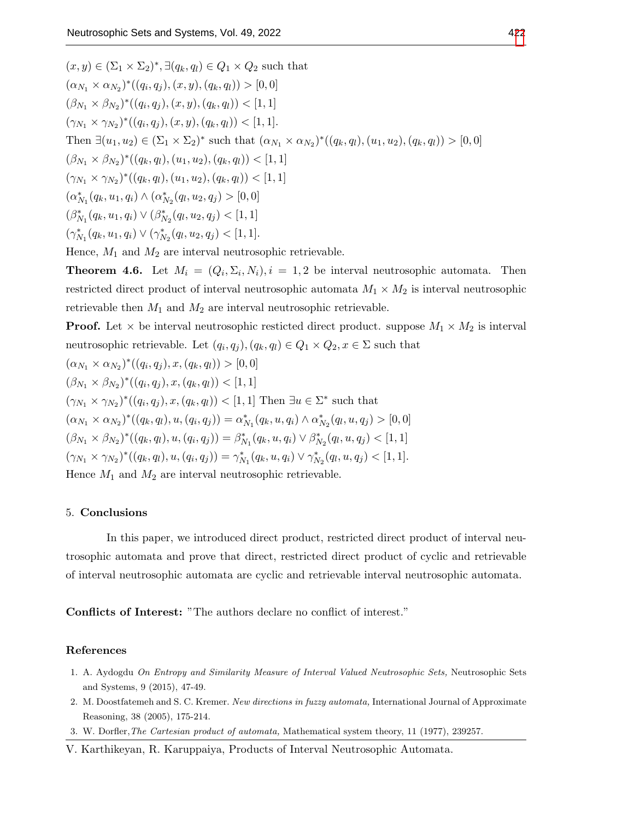$(x, y) \in (\Sigma_1 \times \Sigma_2)^*, \exists (q_k, q_l) \in Q_1 \times Q_2$  such that  $(\alpha_{N_1} \times \alpha_{N_2})^*((q_i, q_j), (x, y), (q_k, q_l)) > [0, 0]$  $(\beta_{N_1} \times \beta_{N_2})^*((q_i, q_j), (x, y), (q_k, q_l)) < [1, 1]$  $(\gamma_{N_1} \times \gamma_{N_2})^*((q_i, q_j), (x, y), (q_k, q_l)) < [1, 1].$ Then  $\exists (u_1, u_2) \in (\Sigma_1 \times \Sigma_2)^*$  such that  $(\alpha_{N_1} \times \alpha_{N_2})^*((q_k, q_l), (u_1, u_2), (q_k, q_l)) > [0, 0]$  $(\beta_{N_1} \times \beta_{N_2})^*((q_k, q_l), (u_1, u_2), (q_k, q_l)) < [1, 1]$  $(\gamma_{N_1} \times \gamma_{N_2})^*((q_k, q_l), (u_1, u_2), (q_k, q_l)) < [1, 1]$  $(\alpha_{N_1}^*(q_k, u_1, q_i) \wedge (\alpha_{N_2}^*(q_l, u_2, q_j) > [0, 0])$  $(\beta_{N_1}^*(q_k, u_1, q_i) \vee (\beta_{N_2}^*(q_l, u_2, q_j) < [1, 1])$  $(\gamma_{N_1}^*(q_k, u_1, q_i) \vee (\gamma_{N_2}^*(q_l, u_2, q_j) < [1, 1].$ 

Hence,  $M_1$  and  $M_2$  are interval neutrosophic retrievable.

**Theorem 4.6.** Let  $M_i = (Q_i, \Sigma_i, N_i), i = 1, 2$  be interval neutrosophic automata. Then restricted direct product of interval neutrosophic automata  $M_1 \times M_2$  is interval neutrosophic retrievable then  $M_1$  and  $M_2$  are interval neutrosophic retrievable.

**Proof.** Let  $\times$  be interval neutrosophic resticted direct product. suppose  $M_1 \times M_2$  is interval neutrosophic retrievable. Let  $(q_i, q_j), (q_k, q_l) \in Q_1 \times Q_2, x \in \Sigma$  such that

$$
(\alpha_{N_1} \times \alpha_{N_2})^*((q_i, q_j), x, (q_k, q_l)) > [0, 0]
$$
  
\n
$$
(\beta_{N_1} \times \beta_{N_2})^*((q_i, q_j), x, (q_k, q_l)) < [1, 1]
$$
  
\n
$$
(\gamma_{N_1} \times \gamma_{N_2})^*((q_i, q_j), x, (q_k, q_l)) < [1, 1]
$$
 Then  $\exists u \in \Sigma^*$  such that  
\n
$$
(\alpha_{N_1} \times \alpha_{N_2})^*((q_k, q_l), u, (q_i, q_j)) = \alpha_{N_1}^*(q_k, u, q_i) \wedge \alpha_{N_2}^*(q_l, u, q_j) > [0, 0]
$$
  
\n
$$
(\beta_{N_1} \times \beta_{N_2})^*((q_k, q_l), u, (q_i, q_j)) = \beta_{N_1}^*(q_k, u, q_i) \vee \beta_{N_2}^*(q_l, u, q_j) < [1, 1]
$$
  
\n
$$
(\gamma_{N_1} \times \gamma_{N_2})^*((q_k, q_l), u, (q_i, q_j)) = \gamma_{N_1}^*(q_k, u, q_i) \vee \gamma_{N_2}^*(q_l, u, q_j) < [1, 1].
$$
  
\nHence  $M_1$  and  $M_2$  are interval neutrosophic retrieval.

### 5. Conclusions

In this paper, we introduced direct product, restricted direct product of interval neutrosophic automata and prove that direct, restricted direct product of cyclic and retrievable of interval neutrosophic automata are cyclic and retrievable interval neutrosophic automata.

Conflicts of Interest: "The authors declare no conflict of interest."

## References

- <span id="page-6-0"></span>1. A. Aydogdu On Entropy and Similarity Measure of Interval Valued Neutrosophic Sets, Neutrosophic Sets and Systems, 9 (2015), 47-49.
- 2. M. Doostfatemeh and S. C. Kremer. New directions in fuzzy automata, International Journal of Approximate Reasoning, 38 (2005), 175-214.
- <span id="page-6-1"></span>3. W. Dorfler,The Cartesian product of automata, Mathematical system theory, 11 (1977), 239257.

V. Karthikeyan, R. Karuppaiya, Products of Interval Neutrosophic Automata.